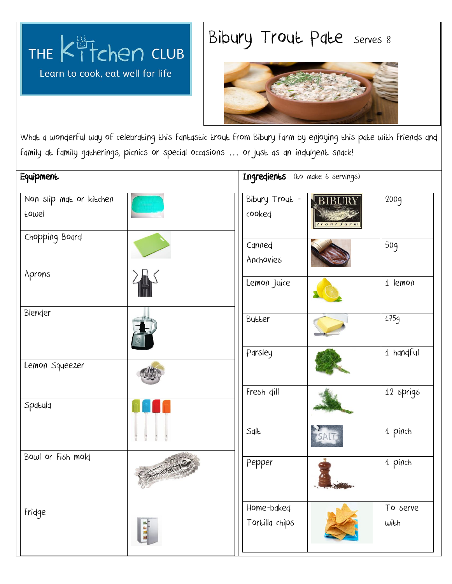

## Bibury Trout Pate Serves 8



What a wonderful way of celebrating this fantastic trout from Bibury Farm by enjoying this pate with friends and family at family gatherings, picnics or special occasions … or just as an indulgent snack!

| Equipment                        |  | Ingredients (to make 6 servings) |                      |                  |
|----------------------------------|--|----------------------------------|----------------------|------------------|
| Non slip mat or kitchen<br>Eowel |  | Bibury Trout -<br>cooked         | BIBURY<br>trout farm | 200g             |
| Chopping Board                   |  | Canned<br>Anchovies              |                      | 50g              |
| Aprons                           |  | Lemon Juice                      |                      | 1 lemon          |
| Blender                          |  | Butter                           |                      | 175g             |
| Lemon Squeezer                   |  | Parsley                          |                      | 1 handful        |
| Spatula                          |  | Fresh dill                       |                      | 12 sprigs        |
|                                  |  | Salt                             | SALT                 | 1 pinch          |
| Bowl or Fish mold                |  | Pepper                           |                      | 1 pinch          |
| Fridge                           |  | Home-baked<br>Tortilla chips     |                      | To serve<br>with |